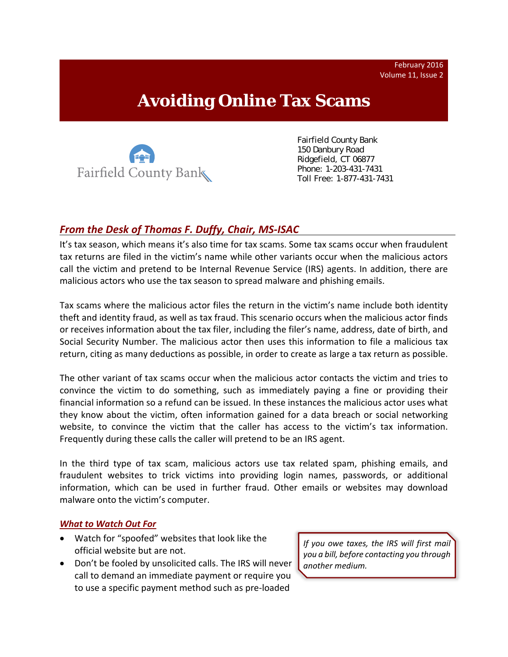February 2016 Volume 11, Issue 2

# **Avoiding Online Tax Scams**



Fairfield County Bank 150 Danbury Road Ridgefield, CT 06877 Phone: 1-203-431-7431 Toll Free: 1-877-431-7431

## *From the Desk of Thomas F. Duffy, Chair, MS‐ISAC*

It's tax season, which means it's also time for tax scams. Some tax scams occur when fraudulent tax returns are filed in the victim's name while other variants occur when the malicious actors call the victim and pretend to be Internal Revenue Service (IRS) agents. In addition, there are malicious actors who use the tax season to spread malware and phishing emails.

Tax scams where the malicious actor files the return in the victim's name include both identity theft and identity fraud, as well as tax fraud. This scenario occurs when the malicious actor finds or receives information about the tax filer, including the filer's name, address, date of birth, and Social Security Number. The malicious actor then uses this information to file a malicious tax return, citing as many deductions as possible, in order to create as large a tax return as possible.

The other variant of tax scams occur when the malicious actor contacts the victim and tries to convince the victim to do something, such as immediately paying a fine or providing their financial information so a refund can be issued. In these instances the malicious actor uses what they know about the victim, often information gained for a data breach or social networking website, to convince the victim that the caller has access to the victim's tax information. Frequently during these calls the caller will pretend to be an IRS agent.

In the third type of tax scam, malicious actors use tax related spam, phishing emails, and fraudulent websites to trick victims into providing login names, passwords, or additional information, which can be used in further fraud. Other emails or websites may download malware onto the victim's computer.

#### *What to Watch Out For*

- Watch for "spoofed" websites that look like the official website but are not.
- Don't be fooled by unsolicited calls. The IRS will never call to demand an immediate payment or require you to use a specific payment method such as pre‐loaded

*If you owe taxes, the IRS will first mail you a bill, before contacting you through another medium.*